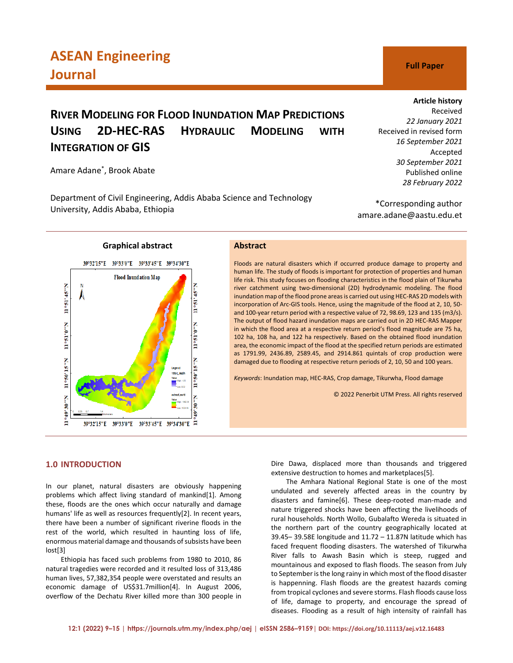# **RIVER MODELING FOR FLOOD INUNDATION MAP PREDICTIONS USING 2D-HEC-RAS HYDRAULIC MODELING WITH INTEGRATION OF GIS**

Amare Adane\* , Brook Abate

Department of Civil Engineering, Addis Ababa Science and Technology University, Addis Ababa, Ethiopia

ė

\*Corresponding author amare.adane@aastu.edu.et



# **Graphical abstract Abstract**

Floods are natural disasters which if occurred produce damage to property and human life. The study of floods is important for protection of properties and human life risk. This study focuses on flooding characteristics in the flood plain of Tikurwha river catchment using two-dimensional (2D) hydrodynamic modeling. The flood inundation map of the flood prone areas is carried out using HEC-RAS 2D models with incorporation of Arc-GIS tools. Hence, using the magnitude of the flood at 2, 10, 50 and 100-year return period with a respective value of 72, 98.69, 123 and 135 (m3/s). The output of flood hazard inundation maps are carried out in 2D HEC-RAS Mapper in which the flood area at a respective return period's flood magnitude are 75 ha, 102 ha, 108 ha, and 122 ha respectively. Based on the obtained flood inundation area, the economic impact of the flood at the specified return periods are estimated as 1791.99, 2436.89, 2589.45, and 2914.861 quintals of crop production were damaged due to flooding at respective return periods of 2, 10, 50 and 100 years.

*Keywords*: Inundation map, HEC-RAS, Crop damage, Tikurwha, Flood damage

© 2022 Penerbit UTM Press. All rights reserved

# **1.0 INTRODUCTION**

In our planet, natural disasters are obviously happening problems which affect living standard of mankind[1]. Among these, floods are the ones which occur naturally and damage humans' life as well as resources frequently[2]. In recent years, there have been a number of significant riverine floods in the rest of the world, which resulted in haunting loss of life, enormous material damage and thousands of subsists have been lost[3]

39°32'15"E 39°33'0"E 39°33'45"E 39°34'30"E =

Ethiopia has faced such problems from 1980 to 2010, 86 natural tragedies were recorded and it resulted loss of 313,486 human lives, 57,382,354 people were overstated and results an economic damage of US\$31.7million[4]. In August 2006, overflow of the Dechatu River killed more than 300 people in

Dire Dawa, displaced more than thousands and triggered extensive destruction to homes and marketplaces[5].

The Amhara National Regional State is one of the most undulated and severely affected areas in the country by disasters and famine[6]. These deep-rooted man-made and nature triggered shocks have been affecting the livelihoods of rural households. North Wollo, Gubalafto Wereda is situated in the northern part of the country geographically located at  $39.45 - 39.58E$  longitude and  $11.72 - 11.87N$  latitude which has faced frequent flooding disasters. The watershed of Tikurwha River falls to Awash Basin which is steep, rugged and mountainous and exposed to flash floods. The season from July to September is the long rainy in which most of the flood disaster is happenning. Flash floods are the greatest hazards coming from tropical cyclones and severe storms. Flash floods cause loss of life, damage to property, and encourage the spread of diseases. Flooding as a result of high intensity of rainfall has

Received in revised form *16 September 2021*

> *30 September 2021* Published online *28 February 2022*

## **Article history**

Received *22 January 2021*

Accepted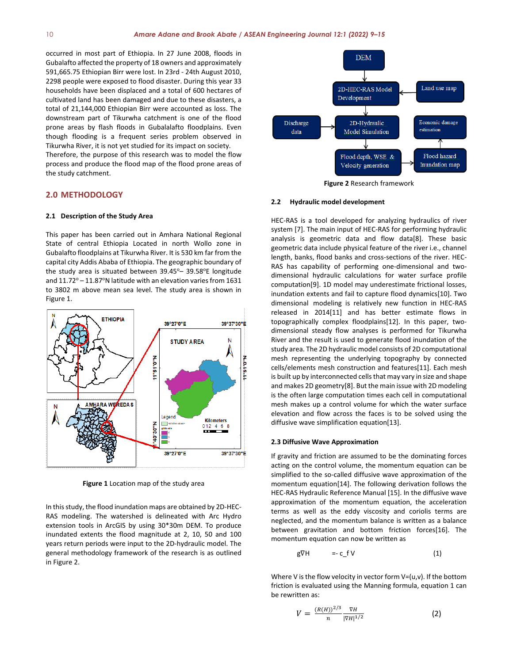occurred in most part of Ethiopia. In 27 June 2008, floods in Gubalafto affected the property of 18 owners and approximately 591,665.75 Ethiopian Birr were lost. In 23rd - 24th August 2010, 2298 people were exposed to flood disaster. During this year 33 households have been displaced and a total of 600 hectares of cultivated land has been damaged and due to these disasters, a total of 21,144,000 Ethiopian Birr were accounted as loss. The downstream part of Tikurwha catchment is one of the flood prone areas by flash floods in Gubalalafto floodplains. Even though flooding is a frequent series problem observed in Tikurwha River, it is not yet studied for its impact on society.

Therefore, the purpose of this research was to model the flow process and produce the flood map of the flood prone areas of the study catchment.

# **2.0 METHODOLOGY**

#### **2.1 Description of the Study Area**

This paper has been carried out in Amhara National Regional State of central Ethiopia Located in north Wollo zone in Gubalafto floodplains at Tikurwha River. It is 530 km far from the capital city Addis Ababa of Ethiopia. The geographic boundary of the study area is situated between  $39.45^{\circ}$  –  $39.58^{\circ}$ E longitude and  $11.72^{\circ}$  –  $11.87^{\circ}$ N latitude with an elevation varies from 1631 to 3802 m above mean sea level. The study area is shown in Figure 1.



**Figure 1** Location map of the study area

In this study, the flood inundation maps are obtained by 2D-HEC-RAS modeling. The watershed is delineated with Arc Hydro extension tools in ArcGIS by using 30\*30m DEM. To produce inundated extents the flood magnitude at 2, 10, 50 and 100 years return periods were input to the 2D-hydraulic model. The general methodology framework of the research is as outlined in Figure 2.



**Figure 2** Research framework

#### **2.2 Hydraulic model development**

HEC-RAS is a tool developed for analyzing hydraulics of river system [7]. The main input of HEC-RAS for performing hydraulic analysis is geometric data and flow data[8]. These basic geometric data include physical feature of the river i.e., channel length, banks, flood banks and cross-sections of the river. HEC-RAS has capability of performing one-dimensional and twodimensional hydraulic calculations for water surface profile computation[9]. 1D model may underestimate frictional losses, inundation extents and fail to capture flood dynamics[10]. Two dimensional modeling is relatively new function in HEC-RAS released in 2014[11] and has better estimate flows in topographically complex floodplains[12]. In this paper, twodimensional steady flow analyses is performed for Tikurwha River and the result is used to generate flood inundation of the study area. The 2D hydraulic model consists of 2D computational mesh representing the underlying topography by connected cells/elements mesh construction and features[11]. Each mesh is built up by interconnected cells that may vary in size and shape and makes 2D geometry[8]. But the main issue with 2D modeling is the often large computation times each cell in computational mesh makes up a control volume for which the water surface elevation and flow across the faces is to be solved using the diffusive wave simplification equation[13].

#### **2.3 Diffusive Wave Approximation**

If gravity and friction are assumed to be the dominating forces acting on the control volume, the momentum equation can be simplified to the so-called diffusive wave approximation of the momentum equation[14]. The following derivation follows the HEC-RAS Hydraulic Reference Manual [15]. In the diffusive wave approximation of the momentum equation, the acceleration terms as well as the eddy viscosity and coriolis terms are neglected, and the momentum balance is written as a balance between gravitation and bottom friction forces[16]. The momentum equation can now be written as

$$
g\nabla H = -c_f V \qquad (1)
$$

Where V is the flow velocity in vector form  $V=(u,v)$ . If the bottom friction is evaluated using the Manning formula, equation 1 can be rewritten as:

$$
V = \frac{(R(H))^{2/3}}{n} \frac{\nabla H}{|\nabla H|^{1/2}} \tag{2}
$$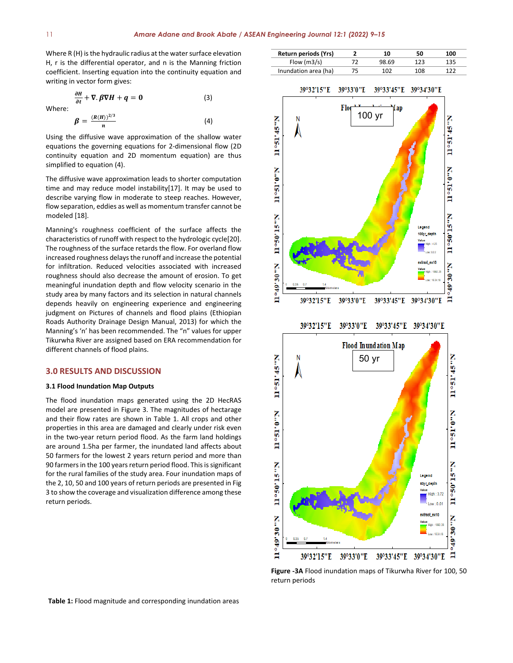Where R (H) is the hydraulic radius at the water surface elevation H, r is the differential operator, and n is the Manning friction coefficient. Inserting equation into the continuity equation and writing in vector form gives:

Where:  
\n
$$
\frac{\partial H}{\partial t} + \nabla \cdot \beta \nabla H + q = 0
$$
\n(3)  
\n
$$
\beta = \frac{(R(H))^{2/3}}{n}
$$
\n(4)

Using the diffusive wave approximation of the shallow water equations the governing equations for 2-dimensional flow (2D continuity equation and 2D momentum equation) are thus simplified to equation (4).

The diffusive wave approximation leads to shorter computation time and may reduce model instability[17]. It may be used to describe varying flow in moderate to steep reaches. However, flow separation, eddies as well as momentum transfer cannot be modeled [18].

Manning's roughness coefficient of the surface affects the characteristics of runoff with respect to the hydrologic cycle[20]. The roughness of the surface retards the flow. For overland flow increased roughness delays the runoff and increase the potential for infiltration. Reduced velocities associated with increased roughness should also decrease the amount of erosion. To get meaningful inundation depth and flow velocity scenario in the study area by many factors and its selection in natural channels depends heavily on engineering experience and engineering judgment on Pictures of channels and flood plains (Ethiopian Roads Authority Drainage Design Manual, 2013) for which the Manning's 'n' has been recommended. The "n" values for upper Tikurwha River are assigned based on ERA recommendation for different channels of flood plains.

#### **3.0 RESULTS AND DISCUSSION**

#### **3.1 Flood Inundation Map Outputs**

The flood inundation maps generated using the 2D HecRAS model are presented in Figure 3. The magnitudes of hectarage and their flow rates are shown in Table 1. All crops and other properties in this area are damaged and clearly under risk even in the two-year return period flood. As the farm land holdings are around 1.5ha per farmer, the inundated land affects about 50 farmers for the lowest 2 years return period and more than 90 farmers in the 100 years return period flood. This is significant for the rural families of the study area. Four inundation maps of the 2, 10, 50 and 100 years of return periods are presented in Fig 3 to show the coverage and visualization difference among these return periods.

**Return periods (Yrs) 2 10 50 100**



**Figure -3A** Flood inundation maps of Tikurwha River for 100, 50 return periods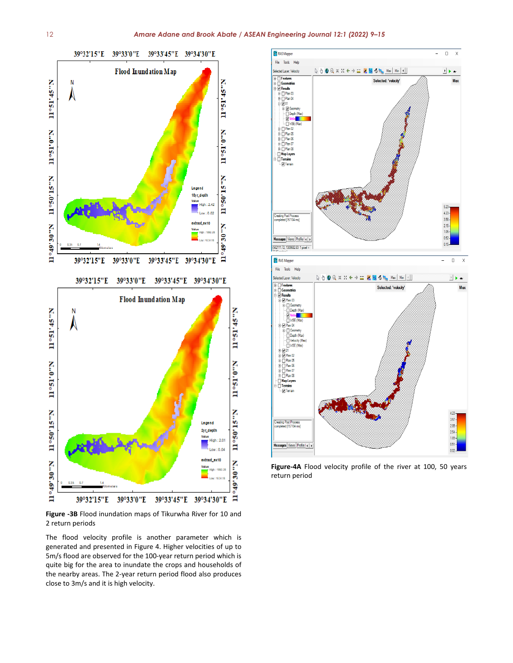

**Figure -3B** Flood inundation maps of Tikurwha River for 10 and 2 return periods

The flood velocity profile is another parameter which is generated and presented in Figure 4. Higher velocities of up to 5m/s flood are observed for the 100-year return period which is quite big for the area to inundate the crops and households of the nearby areas. The 2-year return period flood also produces close to 3m/s and it is high velocity.



**Figure-4A** Flood velocity profile of the river at 100, 50 years return period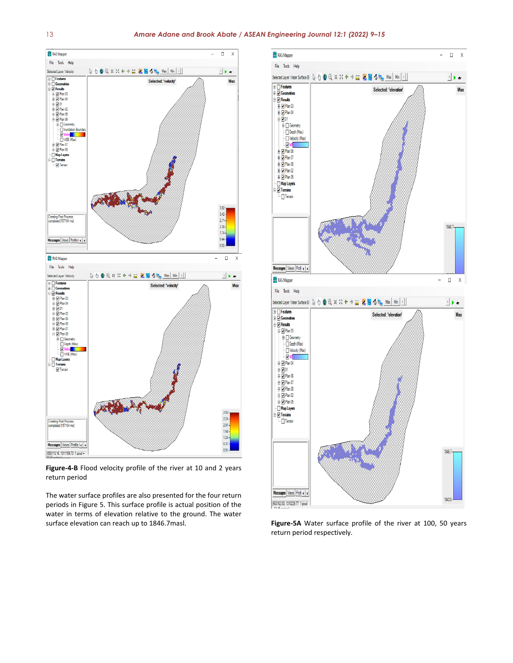![](_page_4_Figure_2.jpeg)

**Figure-4-B** Flood velocity profile of the river at 10 and 2 years return period

The water surface profiles are also presented for the four return periods in Figure 5. This surface profile is actual position of the water in terms of elevation relative to the ground. The water surface elevation can reach up to 1846.7masl. **Figure-5A** Water surface profile of the river at 100, 50 years

![](_page_4_Figure_5.jpeg)

return period respectively.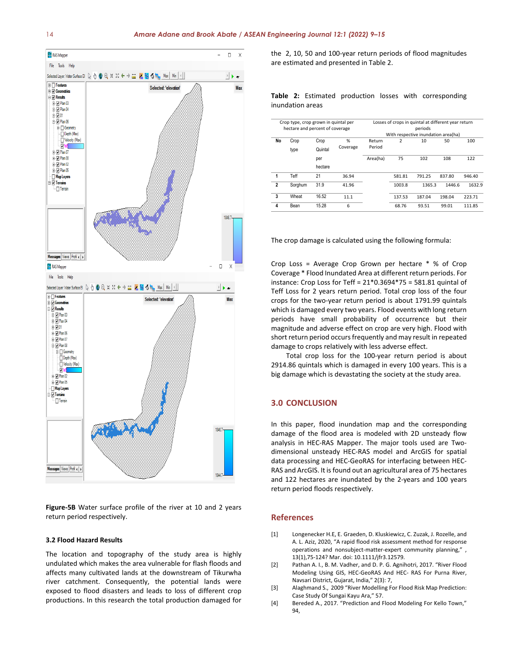![](_page_5_Figure_1.jpeg)

**Figure-5B** Water surface profile of the river at 10 and 2 years return period respectively.

### **3.2 Flood Hazard Results**

The location and topography of the study area is highly undulated which makes the area vulnerable for flash floods and affects many cultivated lands at the downstream of Tikurwha river catchment. Consequently, the potential lands were exposed to flood disasters and leads to loss of different crop productions. In this research the total production damaged for the 2, 10, 50 and 100-year return periods of flood magnitudes are estimated and presented in Table 2.

**Table 2:** Estimated production losses with corresponding inundation areas

| Crop type, crop grown in quintal per<br>hectare and percent of coverage |         |         |          | Losses of crops in quintal at different year return<br>periods |                |        |        |        |
|-------------------------------------------------------------------------|---------|---------|----------|----------------------------------------------------------------|----------------|--------|--------|--------|
|                                                                         |         |         |          | With respective inundation area(ha)                            |                |        |        |        |
| No                                                                      | Crop    | Crop    | %        | Return                                                         | $\overline{2}$ | 10     | 50     | 100    |
|                                                                         | type    | Quintal | Coverage | Period                                                         |                |        |        |        |
|                                                                         |         | per     |          | Area(ha)                                                       | 75             | 102    | 108    | 122    |
|                                                                         |         | hectare |          |                                                                |                |        |        |        |
| 1                                                                       | Teff    | 21      | 36.94    |                                                                | 581.81         | 791.25 | 837.80 | 946.40 |
| $\mathbf{2}$                                                            | Sorahum | 31.9    | 41.96    |                                                                | 1003.8         | 1365.3 | 1446.6 | 1632.9 |
| 3                                                                       | Wheat   | 16.52   | 11.1     |                                                                | 137.53         | 187.04 | 198.04 | 223.71 |
| 4                                                                       | Bean    | 15.28   | 6        |                                                                | 68.76          | 93.51  | 99.01  | 111.85 |
|                                                                         |         |         |          |                                                                |                |        |        |        |

The crop damage is calculated using the following formula:

Crop Loss = Average Crop Grown per hectare \* % of Crop Coverage \* Flood Inundated Area at different return periods. For instance: Crop Loss for Teff = 21\*0.3694\*75 = 581.81 quintal of Teff Loss for 2 years return period. Total crop loss of the four crops for the two-year return period is about 1791.99 quintals which is damaged every two years. Flood events with long return periods have small probability of occurrence but their magnitude and adverse effect on crop are very high. Flood with short return period occurs frequently and may result in repeated damage to crops relatively with less adverse effect.

Total crop loss for the 100-year return period is about 2914.86 quintals which is damaged in every 100 years. This is a big damage which is devastating the society at the study area.

# **3.0 CONCLUSION**

In this paper, flood inundation map and the corresponding damage of the flood area is modeled with 2D unsteady flow analysis in HEC-RAS Mapper. The major tools used are Twodimensional unsteady HEC-RAS model and ArcGIS for spatial data processing and HEC-GeoRAS for interfacing between HEC-RAS and ArcGIS. It is found out an agricultural area of 75 hectares and 122 hectares are inundated by the 2-years and 100 years return period floods respectively.

# **References**

- [1] Longenecker H.E, E. Graeden, D. Kluskiewicz, C. Zuzak, J. Rozelle, and A. L. Aziz, 2020, "A rapid flood risk assessment method for response operations and nonsubject-matter-expert community planning," , 13(1),75-124? Mar. doi: 10.1111/jfr3.12579.
- [2] Pathan A. I., B. M. Vadher, and D. P. G. Agnihotri, 2017. "River Flood Modeling Using GIS, HEC-GeoRAS And HEC- RAS For Purna River, Navsari District, Gujarat, India," 2(3): 7,
- [3] Alaghmand S., 2009 "River Modelling For Flood Risk Map Prediction: Case Study Of Sungai Kayu Ara," 57.
- [4] Bereded A., 2017. "Prediction and Flood Modeling For Kello Town,"  $94$